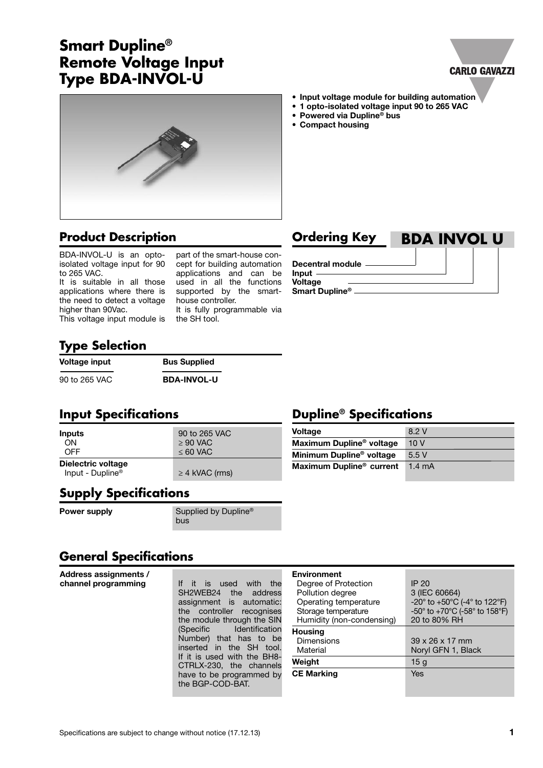#### Specifications are subject to change without notice (17.12.13) **1 1**

# **Smart Dupline® Remote Voltage Input Type BDA-INVOL-U**

#### **• Input voltage module for building automation**

- **• 1 opto-isolated voltage input 90 to 265 VAC**
- **• Powered via Dupline® bus**
- **• Compact housing**

## **Product Description**

BDA-INVOL-U is an optoisolated voltage input for 90 to 265 VAC.

It is suitable in all those applications where there is the need to detect a voltage higher than 90Vac.

This voltage input module is

part of the smart-house concept for building automation applications and can be used in all the functions supported by the smarthouse controller.

It is fully programmable via the SH tool.

| <b>Ordering Key</b>     | <b>BDA INVOL U</b> |
|-------------------------|--------------------|
| <b>Decentral module</b> |                    |

# **Type Selection**

**Voltage** input **Bus** Supplied 90 to 265 VAC **BDA-INVOL-U**

## **Input Specifications Dupline® Specifications**

| Inputs                                             | 90 to 265 VAC       |  |
|----------------------------------------------------|---------------------|--|
| ON                                                 | $\geq 90$ VAC       |  |
| <b>OFF</b>                                         | $\leq 60$ VAC       |  |
| Dielectric voltage<br>Input - Dupline <sup>®</sup> | $\geq$ 4 kVAC (rms) |  |

#### **Supply Specifications**

**Power supply** Supplied by Dupline® **bus** business that the business of the business of the business of the business of the business of the business of the business of the business of the business of the business of the business of the business of the busine

# **General Specifications**

**Address assignments /** 

**channel programming** If it is used with the SH2WEB24 the address assignment is automatic: the controller recognises the module through the SIN (Specific Identification Number) that has to be inserted in the SH tool. If it is used with the BH8- CTRLX-230, the channels have to be programmed by the BGP-COD-BAT.

| <b>Environment</b><br>Degree of Protection<br>Pollution degree<br>Operating temperature<br>Storage temperature<br>Humidity (non-condensing) | IP 20<br>3 (IEC 60664)<br>-20 $^{\circ}$ to +50 $^{\circ}$ C (-4 $^{\circ}$ to 122 $^{\circ}$ F)<br>-50° to +70°C (-58° to 158°F)<br>20 to 80% RH |
|---------------------------------------------------------------------------------------------------------------------------------------------|---------------------------------------------------------------------------------------------------------------------------------------------------|
| <b>Housing</b><br><b>Dimensions</b><br>Material                                                                                             | $39 \times 26 \times 17$ mm<br>Noryl GFN 1, Black                                                                                                 |
| Weight                                                                                                                                      | 15g                                                                                                                                               |
| <b>CE Marking</b>                                                                                                                           | Yes                                                                                                                                               |

# **Decentral module**

**Voltage** 8.2 V **Maximum Dupline® voltage** 10 V **Minimum Dupline® voltage** 5.5 V **Maximum Dupline® current** 1.4 mA

**Input Voltage Smart Dupline®**